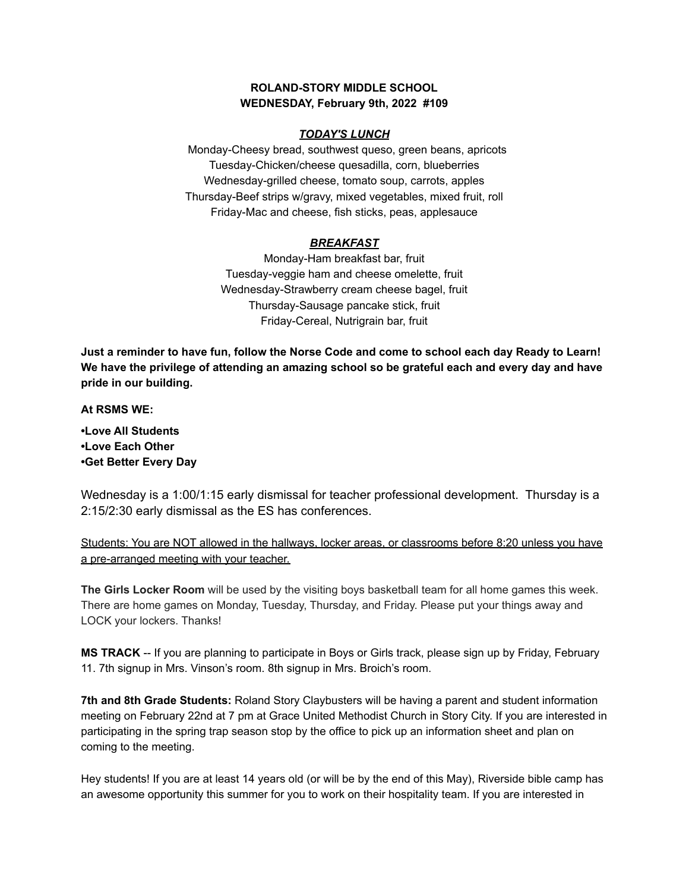#### **ROLAND-STORY MIDDLE SCHOOL WEDNESDAY, February 9th, 2022 #109**

#### *TODAY'S LUNCH*

Monday-Cheesy bread, southwest queso, green beans, apricots Tuesday-Chicken/cheese quesadilla, corn, blueberries Wednesday-grilled cheese, tomato soup, carrots, apples Thursday-Beef strips w/gravy, mixed vegetables, mixed fruit, roll Friday-Mac and cheese, fish sticks, peas, applesauce

## *BREAKFAST*

Monday-Ham breakfast bar, fruit Tuesday-veggie ham and cheese omelette, fruit Wednesday-Strawberry cream cheese bagel, fruit Thursday-Sausage pancake stick, fruit Friday-Cereal, Nutrigrain bar, fruit

Just a reminder to have fun, follow the Norse Code and come to school each day Ready to Learn! **We have the privilege of attending an amazing school so be grateful each and every day and have pride in our building.**

**At RSMS WE:**

**•Love All Students •Love Each Other •Get Better Every Day**

Wednesday is a 1:00/1:15 early dismissal for teacher professional development. Thursday is a 2:15/2:30 early dismissal as the ES has conferences.

## Students: You are NOT allowed in the hallways, locker areas, or classrooms before 8:20 unless you have a pre-arranged meeting with your teacher.

**The Girls Locker Room** will be used by the visiting boys basketball team for all home games this week. There are home games on Monday, Tuesday, Thursday, and Friday. Please put your things away and LOCK your lockers. Thanks!

**MS TRACK** -- If you are planning to participate in Boys or Girls track, please sign up by Friday, February 11. 7th signup in Mrs. Vinson's room. 8th signup in Mrs. Broich's room.

**7th and 8th Grade Students:** Roland Story Claybusters will be having a parent and student information meeting on February 22nd at 7 pm at Grace United Methodist Church in Story City. If you are interested in participating in the spring trap season stop by the office to pick up an information sheet and plan on coming to the meeting.

Hey students! If you are at least 14 years old (or will be by the end of this May), Riverside bible camp has an awesome opportunity this summer for you to work on their hospitality team. If you are interested in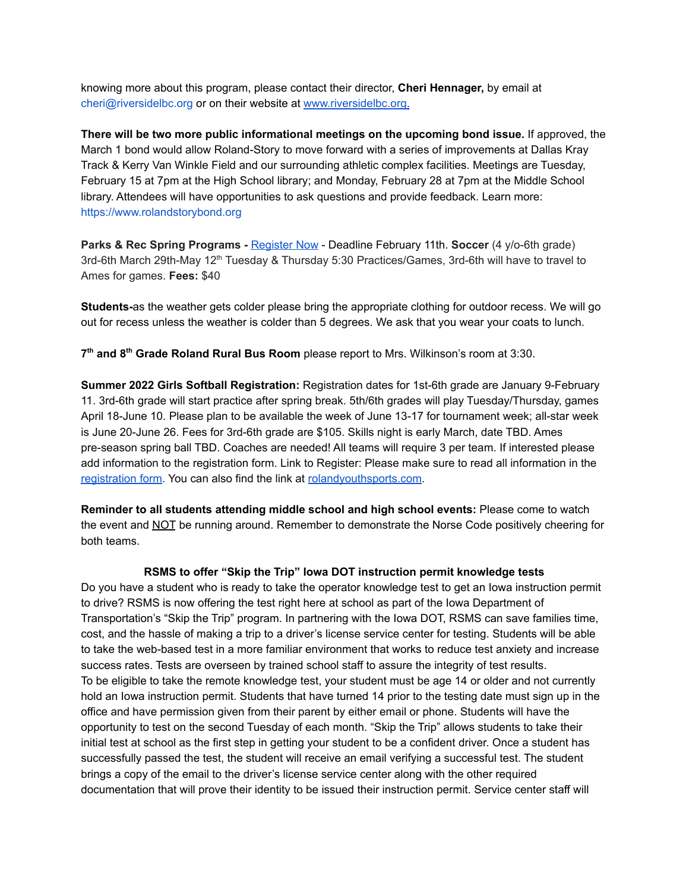knowing more about this program, please contact their director, **Cheri Hennager,** by email at cheri@riversidelbc.org or on their website at [www.riversidelbc.org.](http://www.riversidelbc.org/)

**There will be two more public informational meetings on the upcoming bond issue.** If approved, the March 1 bond would allow Roland-Story to move forward with a series of improvements at Dallas Kray Track & Kerry Van Winkle Field and our surrounding athletic complex facilities. Meetings are Tuesday, February 15 at 7pm at the High School library; and Monday, February 28 at 7pm at the Middle School library. Attendees will have opportunities to ask questions and provide feedback. Learn more: [https://www.rolandstorybond.org](https://www.rolandstorybond.org/?fbclid=IwAR3AJHhy8S8KvQsof-Z44UTrIBXDkOZFSdMyUXMovrg0bH3FkvkTprNkFuM)

**Parks & Rec Spring Programs -** [Register](https://apm.activecommunities.com/cityofstorycity/Activity_Search) Now - Deadline February 11th. **Soccer** (4 y/o-6th grade) 3rd-6th March 29th-May 12<sup>th</sup> Tuesday & Thursday 5:30 Practices/Games, 3rd-6th will have to travel to Ames for games. **Fees:** \$40

**Students-**as the weather gets colder please bring the appropriate clothing for outdoor recess. We will go out for recess unless the weather is colder than 5 degrees. We ask that you wear your coats to lunch.

**7 th and 8 th Grade Roland Rural Bus Room** please report to Mrs. Wilkinson's room at 3:30.

**Summer 2022 Girls Softball Registration:** Registration dates for 1st-6th grade are January 9-February 11. 3rd-6th grade will start practice after spring break. 5th/6th grades will play Tuesday/Thursday, games April 18-June 10. Please plan to be available the week of June 13-17 for tournament week; all-star week is June 20-June 26. Fees for 3rd-6th grade are \$105. Skills night is early March, date TBD. Ames pre-season spring ball TBD. Coaches are needed! All teams will require 3 per team. If interested please add information to the registration form. Link to Register: Please make sure to read all information in th[e](https://rolandyouthsports.com/summer-2022-softball-registration-form/) [registration](https://rolandyouthsports.com/summer-2022-softball-registration-form/) form. You can also find the link at [rolandyouthsports.com](http://rolandyouthsports.com/).

**Reminder to all students attending middle school and high school events:** Please come to watch the event and NOT be running around. Remember to demonstrate the Norse Code positively cheering for both teams.

#### **RSMS to offer "Skip the Trip" Iowa DOT instruction permit knowledge tests**

Do you have a student who is ready to take the operator knowledge test to get an Iowa instruction permit to drive? RSMS is now offering the test right here at school as part of the Iowa Department of Transportation's "Skip the Trip" program. In partnering with the Iowa DOT, RSMS can save families time, cost, and the hassle of making a trip to a driver's license service center for testing. Students will be able to take the web-based test in a more familiar environment that works to reduce test anxiety and increase success rates. Tests are overseen by trained school staff to assure the integrity of test results. To be eligible to take the remote knowledge test, your student must be age 14 or older and not currently hold an Iowa instruction permit. Students that have turned 14 prior to the testing date must sign up in the office and have permission given from their parent by either email or phone. Students will have the opportunity to test on the second Tuesday of each month. "Skip the Trip" allows students to take their initial test at school as the first step in getting your student to be a confident driver. Once a student has successfully passed the test, the student will receive an email verifying a successful test. The student brings a copy of the email to the driver's license service center along with the other required documentation that will prove their identity to be issued their instruction permit. Service center staff will